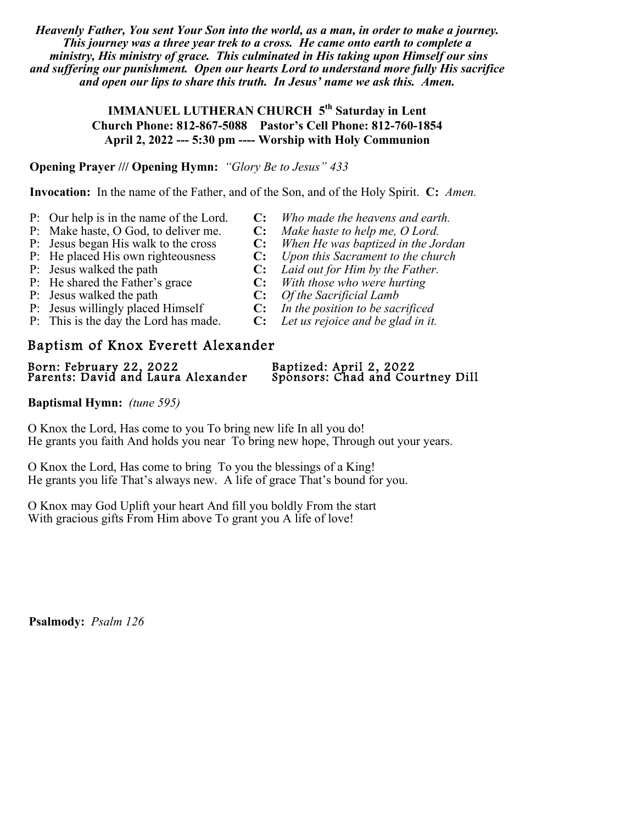*Heavenly Father, You sent Your Son into the world, as a man, in order to make a journey. This journey was a three year trek to a cross. He came onto earth to complete a ministry, His ministry of grace. This culminated in His taking upon Himself our sins and suffering our punishment. Open our hearts Lord to understand more fully His sacrifice and open our lips to share this truth. In Jesus' name we ask this. Amen.*

> **IMMANUEL LUTHERAN CHURCH 5<sup>th</sup> Saturday in Lent Church Phone: 812-867-5088 Pastor's Cell Phone: 812-760-1854 April 2, 2022 --- 5:30 pm ---- Worship with Holy Communion**

## **Opening Prayer /// Opening Hymn:** *"Glory Be to Jesus" 433*

**Invocation:** In the name of the Father, and of the Son, and of the Holy Spirit. **C:** *Amen.*

- P: Our help is in the name of the Lord. **C:** *Who made the heavens and earth.*
- 
- 
- 
- 
- P: He shared the Father's grace **C:** *With those who were hurting*
- 
- P: Jesus walked the path **C:** *Of the Sacrificial Lamb*<br>P: Jesus willingly placed Himself **C:** *In the position to be sac* P: Jesus willingly placed Himself **C:** *In the position to be sacrificed*
- P: This is the day the Lord has made. **C:** *Let us rejoice and be glad in it.*

# Baptism of Knox Everett Alexander

Born: February 22, 2022 Baptized: April 2, 2022 Parents: David and Laura Alexander Sponsors: Chad and Courtney Dill

# **Baptismal Hymn:** *(tune 595)*

O Knox the Lord, Has come to you To bring new life In all you do! He grants you faith And holds you near To bring new hope, Through out your years.

O Knox the Lord, Has come to bring To you the blessings of a King! He grants you life That's always new. A life of grace That's bound for you.

O Knox may God Uplift your heart And fill you boldly From the start With gracious gifts From Him above To grant you A life of love!

**Psalmody:** *Psalm 126*

P: Make haste, O God, to deliver me. **C:** *Make haste to help me, O Lord.*

- P: Jesus began His walk to the cross **C:** *When He was baptized in the Jordan*
- P: He placed His own righteousness **C:** *Upon this Sacrament to the church* P: Jesus walked the path **C:** *Laid out for Him by the Father.* 
	- **C:** *Laid out for Him by the Father.* 
		-
		-
		-
		-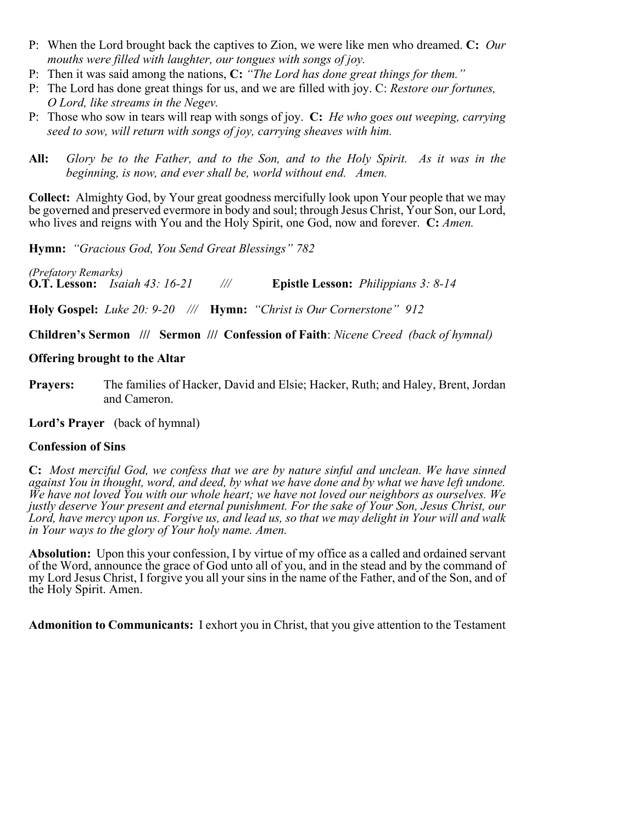- P: When the Lord brought back the captives to Zion, we were like men who dreamed. **C:** *Our mouths were filled with laughter, our tongues with songs of joy.*
- P: Then it was said among the nations, **C:** *"The Lord has done great things for them."*
- P: The Lord has done great things for us, and we are filled with joy. C: *Restore our fortunes, O Lord, like streams in the Negev.*
- P: Those who sow in tears will reap with songs of joy. **C:** *He who goes out weeping, carrying seed to sow, will return with songs of joy, carrying sheaves with him.*
- **All:** *Glory be to the Father, and to the Son, and to the Holy Spirit. As it was in the beginning, is now, and ever shall be, world without end. Amen.*

**Collect:** Almighty God, by Your great goodness mercifully look upon Your people that we may be governed and preserved evermore in body and soul; through Jesus Christ, Your Son, our Lord, who lives and reigns with You and the Holy Spirit, one God, now and forever. **C:** *Amen.*

**Hymn:** *"Gracious God, You Send Great Blessings" 782*

*(Prefatory Remarks)* **O.T. Lesson:** *Isaiah 43: 16-21 ///* **Epistle Lesson:** *Philippians 3: 8-14*

**Holy Gospel:** *Luke 20: 9-20 ///* **Hymn:** *"Christ is Our Cornerstone" 912*

**Children's Sermon /// Sermon /// Confession of Faith**: *Nicene Creed (back of hymnal)*

# **Offering brought to the Altar**

**Prayers:** The families of Hacker, David and Elsie; Hacker, Ruth; and Haley, Brent, Jordan and Cameron.

**Lord's Prayer** (back of hymnal)

# **Confession of Sins**

**C:** *Most merciful God, we confess that we are by nature sinful and unclean. We have sinned against You in thought, word, and deed, by what we have done and by what we have left undone. We have not loved You with our whole heart; we have not loved our neighbors as ourselves. We justly deserve Your present and eternal punishment. For the sake of Your Son, Jesus Christ, our Lord, have mercy upon us. Forgive us, and lead us, so that we may delight in Your will and walk in Your ways to the glory of Your holy name. Amen.*

**Absolution:** Upon this your confession, I by virtue of my office as a called and ordained servant of the Word, announce the grace of God unto all of you, and in the stead and by the command of my Lord Jesus Christ, I forgive you all your sins in the name of the Father, and of the Son, and of the Holy Spirit. Amen.

**Admonition to Communicants:** I exhort you in Christ, that you give attention to the Testament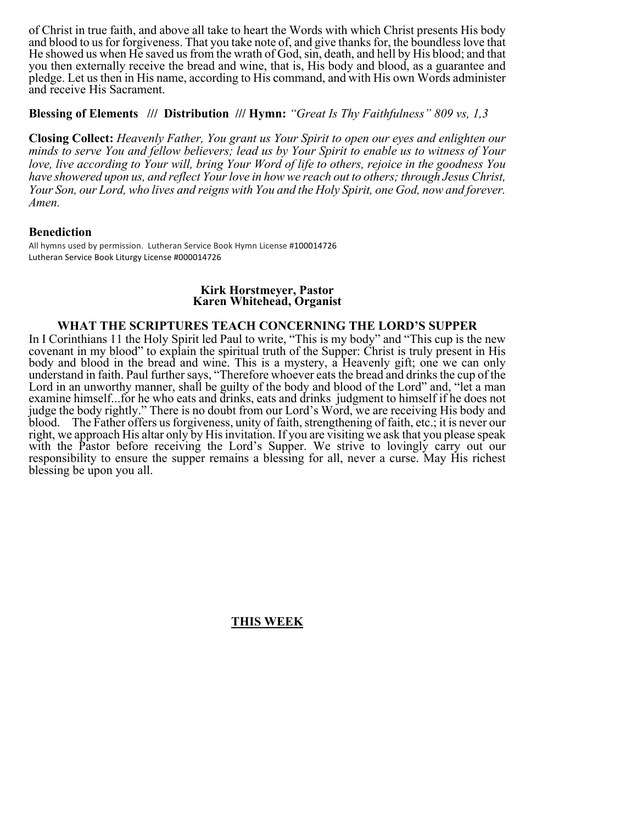of Christ in true faith, and above all take to heart the Words with which Christ presents His body and blood to us for forgiveness. That you take note of, and give thanks for, the boundless love that He showed us when He saved us from the wrath of God, sin, death, and hell by His blood; and that you then externally receive the bread and wine, that is, His body and blood, as a guarantee and pledge. Let us then in His name, according to His command, and with His own Words administer and receive His Sacrament.

#### **Blessing of Elements /// Distribution /// Hymn:** *"Great Is Thy Faithfulness" 809 vs, 1,3*

**Closing Collect:** *Heavenly Father, You grant us Your Spirit to open our eyes and enlighten our minds to serve You and fellow believers; lead us by Your Spirit to enable us to witness of Your love, live according to Your will, bring Your Word of life to others, rejoice in the goodness You have showered upon us, and reflect Your love in how we reach out to others; through Jesus Christ, Your Son, our Lord, who lives and reigns with You and the Holy Spirit, one God, now and forever. Amen.*

### **Benediction**

All hymns used by permission. Lutheran Service Book Hymn License #100014726 Lutheran Service Book Liturgy License #000014726

#### **Kirk Horstmeyer, Pastor Karen Whitehead, Organist**

#### **WHAT THE SCRIPTURES TEACH CONCERNING THE LORD'S SUPPER**

In I Corinthians 11 the Holy Spirit led Paul to write, "This is my body" and "This cup is the new covenant in my blood" to explain the spiritual truth of the Supper: Christ is truly present in His body and blood in the bread and wine. This is a mystery, a Heavenly gift; one we can only understand in faith. Paul further says, "Therefore whoever eats the bread and drinks the cup of the Lord in an unworthy manner, shall be guilty of the body and blood of the Lord" and, "let a man examine himself...for he who eats and drinks, eats and drinks judgment to himself if he does not judge the body rightly." There is no doubt from our Lord's Word, we are receiving His body and blood. The Father offers us forgiveness, unity of faith, strengthening of faith, etc.; it is never our right, we approach His altar only by His invitation. If you are visiting we ask that you please speak with the Pastor before receiving the Lord's Supper. We strive to lovingly carry out our responsibility to ensure the supper remains a blessing for all, never a curse. May His richest blessing be upon you all.

### **THIS WEEK**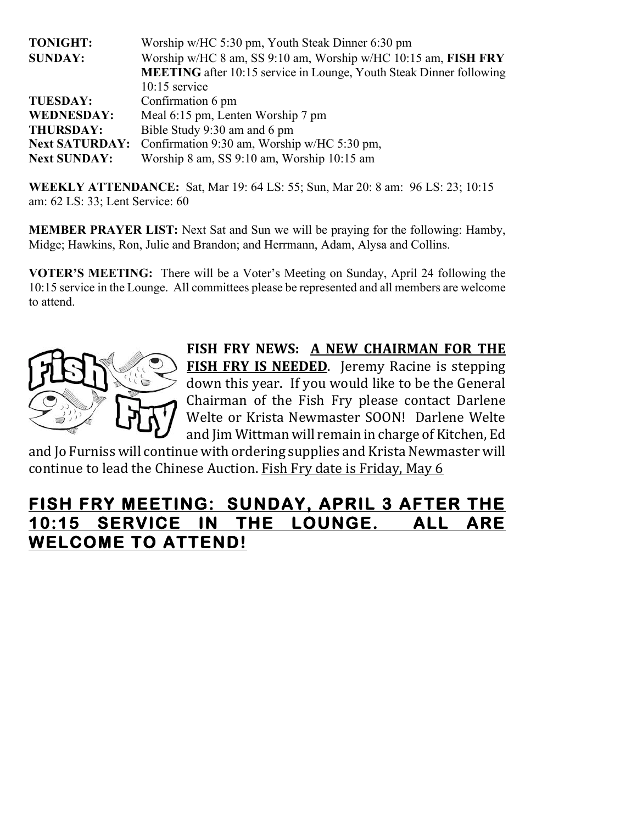| <b>TONIGHT:</b>       | Worship w/HC 5:30 pm, Youth Steak Dinner 6:30 pm                           |
|-----------------------|----------------------------------------------------------------------------|
| <b>SUNDAY:</b>        | Worship w/HC 8 am, SS 9:10 am, Worship w/HC 10:15 am, FISH FRY             |
|                       | <b>MEETING</b> after 10:15 service in Lounge, Youth Steak Dinner following |
|                       | $10:15$ service                                                            |
| <b>TUESDAY:</b>       | Confirmation 6 pm                                                          |
| <b>WEDNESDAY:</b>     | Meal 6:15 pm, Lenten Worship 7 pm                                          |
| <b>THURSDAY:</b>      | Bible Study 9:30 am and 6 pm                                               |
| <b>Next SATURDAY:</b> | Confirmation 9:30 am, Worship w/HC 5:30 pm,                                |
| <b>Next SUNDAY:</b>   | Worship 8 am, SS 9:10 am, Worship 10:15 am                                 |

**WEEKLY ATTENDANCE:** Sat, Mar 19: 64 LS: 55; Sun, Mar 20: 8 am: 96 LS: 23; 10:15 am: 62 LS: 33; Lent Service: 60

**MEMBER PRAYER LIST:** Next Sat and Sun we will be praying for the following: Hamby, Midge; Hawkins, Ron, Julie and Brandon; and Herrmann, Adam, Alysa and Collins.

**VOTER'S MEETING:** There will be a Voter's Meeting on Sunday, April 24 following the 10:15 service in the Lounge. All committees please be represented and all members are welcome to attend.



FISH FRY NEWS: A NEW CHAIRMAN FOR THE **FISH FRY IS NEEDED.** Jeremy Racine is stepping down this year. If you would like to be the General Chairman of the Fish Fry please contact Darlene Welte or Krista Newmaster SOON! Darlene Welte and Jim Wittman will remain in charge of Kitchen, Ed

and Io Furniss will continue with ordering supplies and Krista Newmaster will continue to lead the Chinese Auction. Fish Fry date is Friday, May 6

# **FISH FRY MEETING: SUNDAY, APRIL 3 AFTER THE 10:15 SERVICE IN THE LOUNGE. ALL ARE WELCOME TO ATTEND!**